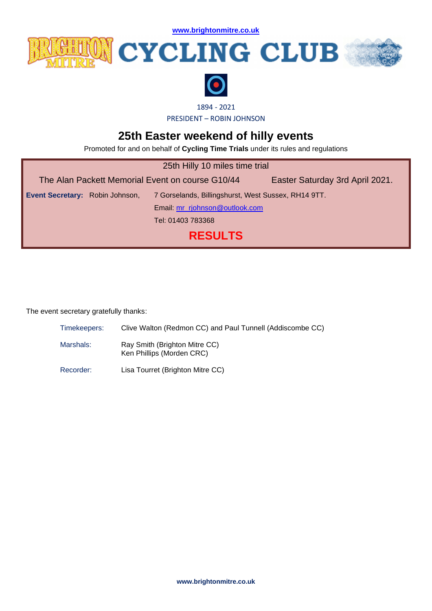**[www.brightonmitre.co.uk](file:///C:/Users/user/Documents/SCA%20Website%20Documents/Docs%202016/20160326%20BM%20Hilly%2010/www.brightonmitre.co.uk)**



## **WICYCLING CLUB**





1894 - 2021

PRESIDENT – ROBIN JOHNSON

## **25th Easter weekend of hilly events**

Promoted for and on behalf of **Cycling Time Trials** under its rules and regulations

| 25th Hilly 10 miles time trial                   |                                                     |                                 |  |  |
|--------------------------------------------------|-----------------------------------------------------|---------------------------------|--|--|
| The Alan Packett Memorial Event on course G10/44 |                                                     | Easter Saturday 3rd April 2021. |  |  |
| Event Secretary: Robin Johnson,                  | 7 Gorselands, Billingshurst, West Sussex, RH14 9TT. |                                 |  |  |
|                                                  | Email: mr_rjohnson@outlook.com                      |                                 |  |  |
|                                                  | Tel: 01403 783368                                   |                                 |  |  |
| <b>RESULTS</b>                                   |                                                     |                                 |  |  |

The event secretary gratefully thanks:

Timekeepers: Clive Walton (Redmon CC) and Paul Tunnell (Addiscombe CC)

- Marshals: Ray Smith (Brighton Mitre CC) Ken Phillips (Morden CRC)
- Recorder: Lisa Tourret (Brighton Mitre CC)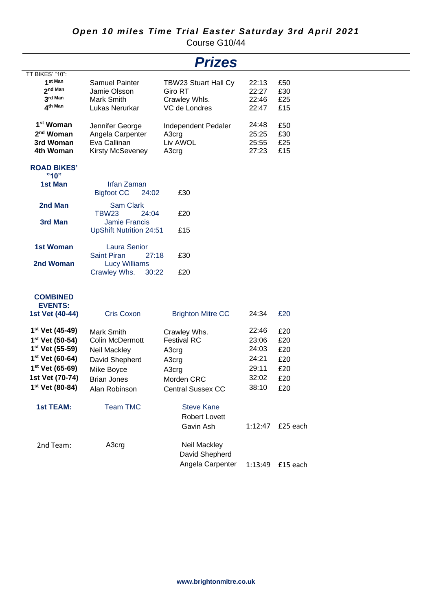## *Open 10 miles Time Trial Easter Saturday 3rd April 2021*

Course G10/44

| <b>Prizes</b>                     |                                                  |                             |         |                  |  |
|-----------------------------------|--------------------------------------------------|-----------------------------|---------|------------------|--|
| TT BIKES' "10":                   |                                                  |                             |         |                  |  |
| 1 <sup>st Man</sup>               | Samuel Painter                                   | <b>TBW23 Stuart Hall Cy</b> | 22:13   | £50              |  |
| 2 <sup>nd Man</sup>               | Jamie Olsson                                     | Giro RT                     | 22:27   | £30              |  |
| 3rd Man                           | Mark Smith                                       | Crawley Whls.               | 22:46   | £25              |  |
| 4th Man                           | Lukas Nerurkar                                   | VC de Londres               | 22:47   | £15              |  |
| 1 <sup>st</sup> Woman             | Jennifer George                                  | Independent Pedaler         | 24:48   | £50              |  |
| 2 <sup>nd</sup> Woman             | Angela Carpenter                                 | A3crg                       | 25:25   | £30              |  |
| 3rd Woman                         | Eva Callinan                                     | Liv AWOL                    | 25:55   | £25              |  |
| 4th Woman                         | <b>Kirsty McSeveney</b>                          | A3crg                       | 27:23   | £15              |  |
| <b>ROAD BIKES'</b>                |                                                  |                             |         |                  |  |
| "10"                              |                                                  |                             |         |                  |  |
| 1st Man                           | <b>Irfan Zaman</b><br><b>Bigfoot CC</b><br>24:02 | £30                         |         |                  |  |
| 2nd Man                           | <b>Sam Clark</b>                                 |                             |         |                  |  |
|                                   | <b>TBW23</b><br>24:04                            | £20                         |         |                  |  |
| 3rd Man                           | <b>Jamie Francis</b>                             |                             |         |                  |  |
|                                   | <b>UpShift Nutrition 24:51</b>                   | £15                         |         |                  |  |
| <b>1st Woman</b>                  | <b>Laura Senior</b>                              |                             |         |                  |  |
|                                   | <b>Saint Piran</b>                               | 27:18<br>£30                |         |                  |  |
| 2nd Woman                         | <b>Lucy Williams</b>                             |                             |         |                  |  |
|                                   | Crawley Whs.                                     | 30:22<br>£20                |         |                  |  |
|                                   |                                                  |                             |         |                  |  |
| <b>COMBINED</b><br><b>EVENTS:</b> |                                                  |                             |         |                  |  |
| 1st Vet (40-44)                   | <b>Cris Coxon</b>                                | <b>Brighton Mitre CC</b>    | 24:34   | £20              |  |
|                                   |                                                  |                             |         |                  |  |
| 1 <sup>st</sup> Vet (45-49)       | Mark Smith                                       | Crawley Whs.                | 22:46   | £20              |  |
| 1st Vet (50-54)                   | <b>Colin McDermott</b>                           | <b>Festival RC</b>          | 23:06   | £20              |  |
| 1 <sup>st</sup> Vet (55-59)       | Neil Mackley                                     | A3crg                       | 24:03   | £20              |  |
| 1 <sup>st</sup> Vet (60-64)       | David Shepherd                                   | A3crg                       | 24:21   | £20              |  |
| 1 <sup>st</sup> Vet (65-69)       | Mike Boyce                                       | A3crg                       | 29:11   | £20              |  |
| 1st Vet (70-74)                   | <b>Brian Jones</b>                               | Morden CRC                  | 32:02   | £20              |  |
| 1st Vet (80-84)                   | Alan Robinson                                    | <b>Central Sussex CC</b>    | 38:10   | £20              |  |
| <b>1st TEAM:</b>                  | <b>Team TMC</b>                                  | <b>Steve Kane</b>           |         |                  |  |
|                                   |                                                  | <b>Robert Lovett</b>        |         |                  |  |
|                                   |                                                  |                             |         |                  |  |
|                                   |                                                  | Gavin Ash                   | 1:12:47 | £25 each         |  |
| 2nd Team:                         | A3crg                                            | Neil Mackley                |         |                  |  |
|                                   |                                                  | David Shepherd              |         |                  |  |
|                                   |                                                  | Angela Carpenter            |         | 1:13:49 £15 each |  |
|                                   |                                                  |                             |         |                  |  |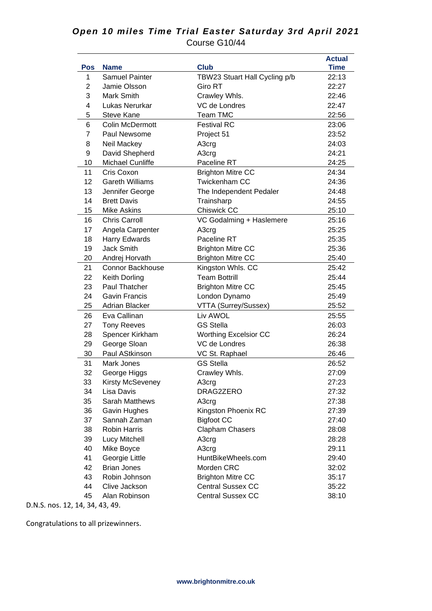## *Open 10 miles Time Trial Easter Saturday 3rd April 2021* Course G10/44

| Pos            | <b>Name</b>             | <b>Club</b>                   | <b>Actual</b><br><b>Time</b> |
|----------------|-------------------------|-------------------------------|------------------------------|
| 1              | <b>Samuel Painter</b>   | TBW23 Stuart Hall Cycling p/b | 22:13                        |
| 2              | Jamie Olsson            | <b>Giro RT</b>                | 22:27                        |
| 3              | Mark Smith              | Crawley Whls.                 | 22:46                        |
| 4              | Lukas Nerurkar          | VC de Londres                 | 22:47                        |
| 5              | <b>Steve Kane</b>       | <b>Team TMC</b>               | 22:56                        |
| 6              | <b>Colin McDermott</b>  | <b>Festival RC</b>            | 23:06                        |
| $\overline{7}$ | Paul Newsome            | Project 51                    | 23:52                        |
| 8              | Neil Mackey             | A3crg                         | 24:03                        |
| 9              | David Shepherd          | A3crg                         | 24:21                        |
| 10             | Michael Cunliffe        | Paceline RT                   | 24:25                        |
| 11             | Cris Coxon              | <b>Brighton Mitre CC</b>      | 24:34                        |
| 12             | <b>Gareth Williams</b>  | <b>Twickenham CC</b>          | 24:36                        |
| 13             | Jennifer George         | The Independent Pedaler       | 24:48                        |
| 14             | <b>Brett Davis</b>      | Trainsharp                    | 24:55                        |
| 15             | <b>Mike Askins</b>      | <b>Chiswick CC</b>            | 25:10                        |
| 16             | <b>Chris Carroll</b>    | VC Godalming + Haslemere      | 25:16                        |
| 17             | Angela Carpenter        | A3crg                         | 25:25                        |
| 18             | Harry Edwards           | Paceline RT                   | 25:35                        |
| 19             | <b>Jack Smith</b>       | <b>Brighton Mitre CC</b>      | 25:36                        |
| 20             | Andrej Horvath          | <b>Brighton Mitre CC</b>      | 25:40                        |
| 21             | <b>Connor Backhouse</b> | Kingston Whls. CC             | 25:42                        |
| 22             | Keith Dorling           | <b>Team Bottrill</b>          | 25:44                        |
| 23             | Paul Thatcher           | <b>Brighton Mitre CC</b>      | 25:45                        |
| 24             | <b>Gavin Francis</b>    | London Dynamo                 | 25:49                        |
| 25             | <b>Adrian Blacker</b>   | VTTA (Surrey/Sussex)          | 25:52                        |
| 26             | Eva Callinan            | Liv AWOL                      | 25:55                        |
| 27             | <b>Tony Reeves</b>      | <b>GS Stella</b>              | 26:03                        |
| 28             | Spencer Kirkham         | <b>Worthing Excelsior CC</b>  | 26:24                        |
| 29             | George Sloan            | VC de Londres                 | 26:38                        |
| 30             | Paul AStkinson          | VC St. Raphael                | 26:46                        |
| 31             | Mark Jones              | <b>GS Stella</b>              | 26:52                        |
| 32             | George Higgs            | Crawley Whls.                 | 27:09                        |
| 33             | Kirsty McSeveney        | A3crg                         | 27:23                        |
| 34             | Lisa Davis              | DRAG2ZERO                     | 27:32                        |
| 35             | <b>Sarah Matthews</b>   | A3crg                         | 27:38                        |
| 36             | Gavin Hughes            | Kingston Phoenix RC           | 27:39                        |
| 37             | Sannah Zaman            | <b>Bigfoot CC</b>             | 27:40                        |
| 38             | <b>Robin Harris</b>     | Clapham Chasers               | 28:08                        |
| 39             | Lucy Mitchell           | A3crg                         | 28:28                        |
| 40             | Mike Boyce              | A3crg                         | 29:11                        |
| 41             | Georgie Little          | HuntBikeWheels.com            | 29:40                        |
| 42             | <b>Brian Jones</b>      | Morden CRC                    | 32:02                        |
| 43             | Robin Johnson           | <b>Brighton Mitre CC</b>      | 35:17                        |
| 44             | Clive Jackson           | <b>Central Sussex CC</b>      | 35:22                        |
| 45             | Alan Robinson           | <b>Central Sussex CC</b>      | 38:10                        |

D.N.S. nos. 12, 14, 34, 43, 49.

Congratulations to all prizewinners.